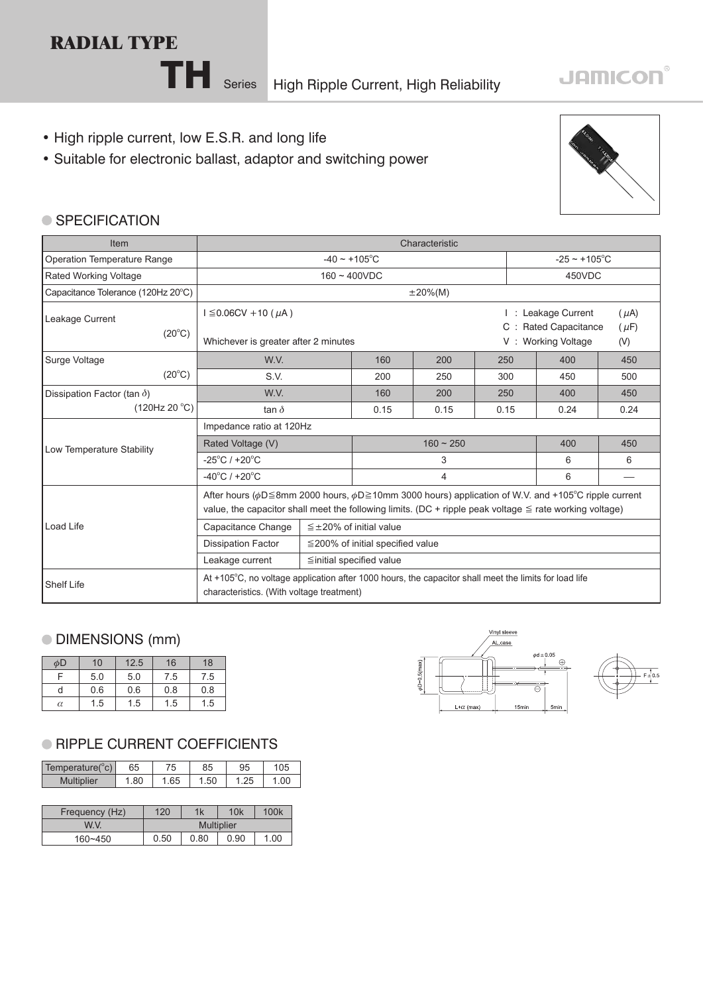# **RADIAL TYPE**

TH Series High Ripple Current, High Reliability

# **JAMICON®**

- High ripple current, low E.S.R. and long life
- Suitable for electronic ballast, adaptor and switching power



#### ● SPECIFICATION

| <b>Item</b>                        | Characteristic                                                                                                                                                                                                                                      |                                                                         |                                        |      |      |      |     |  |  |
|------------------------------------|-----------------------------------------------------------------------------------------------------------------------------------------------------------------------------------------------------------------------------------------------------|-------------------------------------------------------------------------|----------------------------------------|------|------|------|-----|--|--|
| Operation Temperature Range        |                                                                                                                                                                                                                                                     |                                                                         | $-25 \sim +105^{\circ}$ C              |      |      |      |     |  |  |
| <b>Rated Working Voltage</b>       |                                                                                                                                                                                                                                                     |                                                                         | 450VDC                                 |      |      |      |     |  |  |
| Capacitance Tolerance (120Hz 20°C) |                                                                                                                                                                                                                                                     |                                                                         |                                        |      |      |      |     |  |  |
| Leakage Current<br>$(20^{\circ}C)$ | $I \leq 0.06CV + 10 (µA)$<br>Whichever is greater after 2 minutes                                                                                                                                                                                   | : Leakage Current<br><b>Rated Capacitance</b><br><b>Working Voltage</b> | $(\mu A)$<br>$(\mu F)$<br>(V)          |      |      |      |     |  |  |
| Surge Voltage                      | W.V.                                                                                                                                                                                                                                                |                                                                         | 160                                    | 200  | 250  | 400  | 450 |  |  |
| $(20^{\circ}C)$                    | S.V.                                                                                                                                                                                                                                                | 200                                                                     | 250                                    | 300  | 450  | 500  |     |  |  |
| Dissipation Factor (tan $\delta$ ) | W.V.                                                                                                                                                                                                                                                | 160                                                                     | 200                                    | 250  | 400  | 450  |     |  |  |
| (120Hz 20 °C)                      | tan $\delta$                                                                                                                                                                                                                                        | 0.15                                                                    | 0.15                                   | 0.15 | 0.24 | 0.24 |     |  |  |
|                                    | Impedance ratio at 120Hz                                                                                                                                                                                                                            |                                                                         |                                        |      |      |      |     |  |  |
| Low Temperature Stability          | Rated Voltage (V)                                                                                                                                                                                                                                   |                                                                         | $160 - 250$                            |      | 400  | 450  |     |  |  |
|                                    | $-25^{\circ}$ C / +20 $^{\circ}$ C                                                                                                                                                                                                                  |                                                                         | 3                                      |      | 6    | 6    |     |  |  |
|                                    | $-40^{\circ}$ C / +20 $^{\circ}$ C                                                                                                                                                                                                                  |                                                                         | 4                                      |      | 6    |      |     |  |  |
|                                    | After hours ( $\phi$ D 	re 8mm 2000 hours, $\phi$ D 	re 10mm 3000 hours) application of W.V. and +105 <sup>o</sup> C ripple current<br>value, the capacitor shall meet the following limits. (DC + ripple peak voltage $\leq$ rate working voltage) |                                                                         |                                        |      |      |      |     |  |  |
| Load Life                          | Capacitance Change                                                                                                                                                                                                                                  |                                                                         | $\leq \pm 20\%$ of initial value       |      |      |      |     |  |  |
|                                    | <b>Dissipation Factor</b>                                                                                                                                                                                                                           |                                                                         | $\leq$ 200% of initial specified value |      |      |      |     |  |  |
|                                    | Leakage current<br>$\leq$ initial specified value                                                                                                                                                                                                   |                                                                         |                                        |      |      |      |     |  |  |
| <b>Shelf Life</b>                  | At +105°C, no voltage application after 1000 hours, the capacitor shall meet the limits for load life<br>characteristics. (With voltage treatment)                                                                                                  |                                                                         |                                        |      |      |      |     |  |  |

## DIMENSIONS (mm)

| φD       | 10  | 12.5 | 16  | 18  |
|----------|-----|------|-----|-----|
| E        | 5.0 | 5.0  | 7.5 | 7.5 |
| d        | 0.6 | 0.6  | 0.8 | 0.8 |
| $\alpha$ | 1.5 | 1.5  | 1.5 | 1.5 |

### **RIPPLE CURRENT COEFFICIENTS**

| Temperature( $\mathrm{^{\circ}c}$ ) | 65   | 75  | 85   | 95  | 05  |
|-------------------------------------|------|-----|------|-----|-----|
| <b>Multiplier</b>                   | . 80 | .65 | l.50 | ن∠. | .00 |

| Frequency (Hz) | 120               | 1k   | 10k  | 100k |  |  |
|----------------|-------------------|------|------|------|--|--|
| W.V.           | <b>Multiplier</b> |      |      |      |  |  |
| $160 - 450$    | 0.50              | 0.80 | 0.90 | 1.00 |  |  |